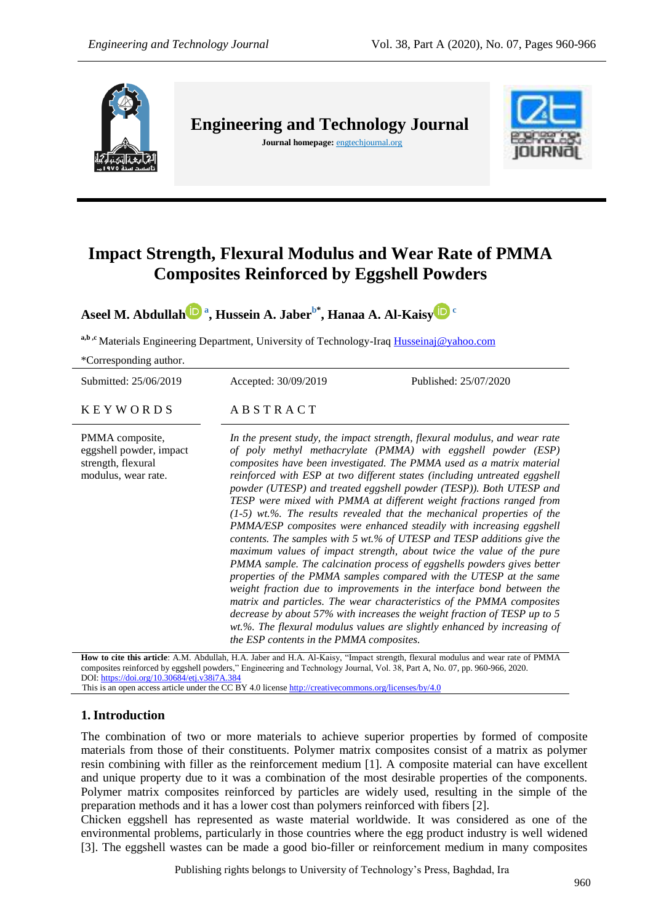

**Engineering and Technology Journal Journal homepage:** engtechjournal.org



# **Impact Strength, Flexural Modulus and Wear Rate of PMMA Composites Reinforced by Eggshell Powders**

**Aseel M. Abdulla[h](https://orcid.org/0000-0003-2834-7527) <sup>a</sup> , Hussein A. Jaberb\* , Hanaa A. Al-Kaisy <sup>c</sup>**

a,b,c<sup>a</sup>Materials Engineering Department, University of Technology-Iraq [Husseinaj@yahoo.com](mailto:Husseinaj@yahoo.com)

\*Corresponding author.

Submitted: 25/06/2019 Accepted: 30/09/2019 Published: 25/07/2020

 $K E Y W O R D S$   $AB S T R A C T$ 

PMMA composite, eggshell powder, impact strength, flexural modulus, wear rate.

*In the present study, the impact strength, flexural modulus, and wear rate of poly methyl methacrylate (PMMA) with eggshell powder (ESP) composites have been investigated. The PMMA used as a matrix material reinforced with ESP at two different states (including untreated eggshell powder (UTESP) and treated eggshell powder (TESP)). Both UTESP and TESP were mixed with PMMA at different weight fractions ranged from (1-5) wt.%. The results revealed that the mechanical properties of the PMMA/ESP composites were enhanced steadily with increasing eggshell contents. The samples with 5 wt.% of UTESP and TESP additions give the maximum values of impact strength, about twice the value of the pure PMMA sample. The calcination process of eggshells powders gives better properties of the PMMA samples compared with the UTESP at the same weight fraction due to improvements in the interface bond between the matrix and particles. The wear characteristics of the PMMA composites decrease by about 57% with increases the weight fraction of TESP up to 5 wt.%. The flexural modulus values are slightly enhanced by increasing of the ESP contents in the PMMA composites.*

**How to cite this article**: A.M. Abdullah, H.A. Jaber and H.A. Al-Kaisy, "Impact strength, flexural modulus and wear rate of PMMA composites reinforced by eggshell powders," Engineering and Technology Journal, Vol. 38, Part A, No. 07, pp. 960-966, 2020. DOI[: https://doi.org/10.30684/etj.v38i7A.384](https://doi.org/10.30684/etj.v38i7A.384)

This is an open access article under the CC BY 4.0 licens[e http://creativecommons.org/licenses/by/4.0](http://creativecommons.org/licenses/by/4.0) 

### **1.Introduction**

The combination of two or more materials to achieve superior properties by formed of composite materials from those of their constituents. Polymer matrix composites consist of a matrix as polymer resin combining with filler as the reinforcement medium [1]. A composite material can have excellent and unique property due to it was a combination of the most desirable properties of the components. Polymer matrix composites reinforced by particles are widely used, resulting in the simple of the preparation methods and it has a lower cost than polymers reinforced with fibers [2].

Chicken eggshell has represented as waste material worldwide. It was considered as one of the environmental problems, particularly in those countries where the egg product industry is well widened [3]. The eggshell wastes can be made a good bio-filler or reinforcement medium in many composites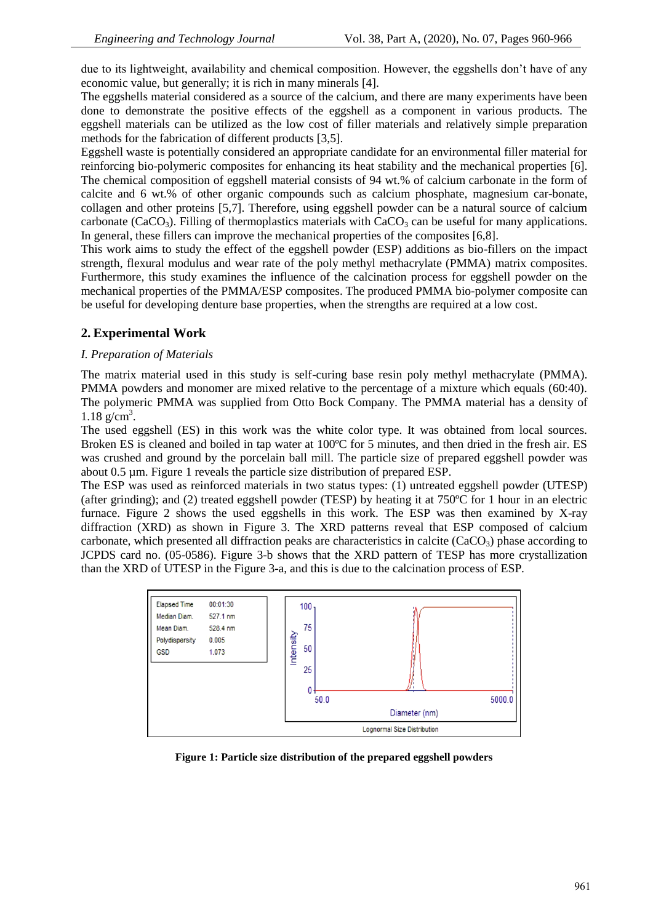due to its lightweight, availability and chemical composition. However, the eggshells don't have of any economic value, but generally; it is rich in many minerals [4].

The eggshells material considered as a source of the calcium, and there are many experiments have been done to demonstrate the positive effects of the eggshell as a component in various products. The eggshell materials can be utilized as the low cost of filler materials and relatively simple preparation methods for the fabrication of different products [3,5].

Eggshell waste is potentially considered an appropriate candidate for an environmental filler material for reinforcing bio-polymeric composites for enhancing its heat stability and the mechanical properties [6]. The chemical composition of eggshell material consists of 94 wt.% of calcium carbonate in the form of calcite and 6 wt.% of other organic compounds such as calcium phosphate, magnesium car-bonate, collagen and other proteins [5,7]. Therefore, using eggshell powder can be a natural source of calcium carbonate (CaCO<sub>3</sub>). Filling of thermoplastics materials with  $CaCO<sub>3</sub>$  can be useful for many applications. In general, these fillers can improve the mechanical properties of the composites [6,8].

This work aims to study the effect of the eggshell powder (ESP) additions as bio-fillers on the impact strength, flexural modulus and wear rate of the poly methyl methacrylate (PMMA) matrix composites. Furthermore, this study examines the influence of the calcination process for eggshell powder on the mechanical properties of the PMMA/ESP composites. The produced PMMA bio-polymer composite can be useful for developing denture base properties, when the strengths are required at a low cost.

## **2. Experimental Work**

#### *I. Preparation of Materials*

The matrix material used in this study is self-curing base resin poly methyl methacrylate (PMMA). PMMA powders and monomer are mixed relative to the percentage of a mixture which equals (60:40). The polymeric PMMA was supplied from Otto Bock Company. The PMMA material has a density of  $1.18 \text{ g/cm}^3$ .

The used eggshell (ES) in this work was the white color type. It was obtained from local sources. Broken ES is cleaned and boiled in tap water at 100°C for 5 minutes, and then dried in the fresh air. ES was crushed and ground by the porcelain ball mill. The particle size of prepared eggshell powder was about 0.5 µm. Figure 1 reveals the particle size distribution of prepared ESP.

The ESP was used as reinforced materials in two status types: (1) untreated eggshell powder (UTESP) (after grinding); and (2) treated eggshell powder (TESP) by heating it at 750ºC for 1 hour in an electric furnace. Figure 2 shows the used eggshells in this work. The ESP was then examined by X-ray diffraction (XRD) as shown in Figure 3. The XRD patterns reveal that ESP composed of calcium carbonate, which presented all diffraction peaks are characteristics in calcite ( $CaCO<sub>3</sub>$ ) phase according to JCPDS card no. (05-0586). Figure 3-b shows that the XRD pattern of TESP has more crystallization than the XRD of UTESP in the Figure 3-a, and this is due to the calcination process of ESP.



**Figure 1: Particle size distribution of the prepared eggshell powders**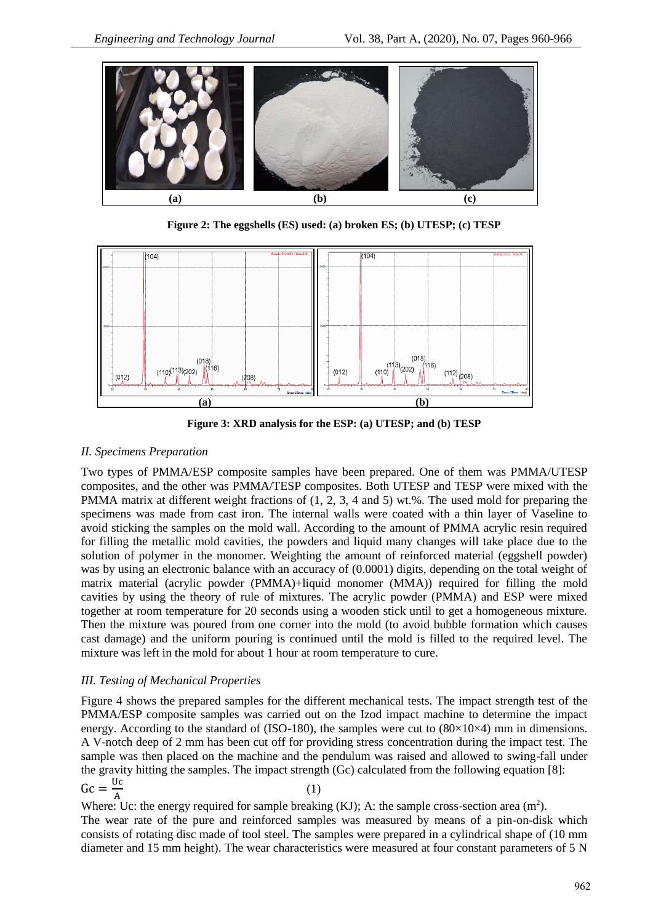

**Figure 2: The eggshells (ES) used: (a) broken ES; (b) UTESP; (c) TESP**



**Figure 3: XRD analysis for the ESP: (a) UTESP; and (b) TESP**

### *II. Specimens Preparation*

Two types of PMMA/ESP composite samples have been prepared. One of them was PMMA/UTESP composites, and the other was PMMA/TESP composites. Both UTESP and TESP were mixed with the PMMA matrix at different weight fractions of (1, 2, 3, 4 and 5) wt.%. The used mold for preparing the specimens was made from cast iron. The internal walls were coated with a thin layer of Vaseline to avoid sticking the samples on the mold wall. According to the amount of PMMA acrylic resin required for filling the metallic mold cavities, the powders and liquid many changes will take place due to the solution of polymer in the monomer. Weighting the amount of reinforced material (eggshell powder) was by using an electronic balance with an accuracy of (0.0001) digits, depending on the total weight of matrix material (acrylic powder (PMMA)+liquid monomer (MMA)) required for filling the mold cavities by using the theory of rule of mixtures. The acrylic powder (PMMA) and ESP were mixed together at room temperature for 20 seconds using a wooden stick until to get a homogeneous mixture. Then the mixture was poured from one corner into the mold (to avoid bubble formation which causes cast damage) and the uniform pouring is continued until the mold is filled to the required level. The mixture was left in the mold for about 1 hour at room temperature to cure.

### *III. Testing of Mechanical Properties*

Figure 4 shows the prepared samples for the different mechanical tests. The impact strength test of the PMMA/ESP composite samples was carried out on the Izod impact machine to determine the impact energy. According to the standard of (ISO-180), the samples were cut to  $(80\times10\times4)$  mm in dimensions. A V-notch deep of 2 mm has been cut off for providing stress concentration during the impact test. The sample was then placed on the machine and the pendulum was raised and allowed to swing-fall under the gravity hitting the samples. The impact strength (Gc) calculated from the following equation [8]:  $\text{Gc} = \frac{U}{A}$ A (1)

Where: Uc: the energy required for sample breaking (KJ); A: the sample cross-section area  $(m^2)$ . The wear rate of the pure and reinforced samples was measured by means of a pin-on-disk which consists of rotating disc made of tool steel. The samples were prepared in a cylindrical shape of (10 mm diameter and 15 mm height). The wear characteristics were measured at four constant parameters of 5 N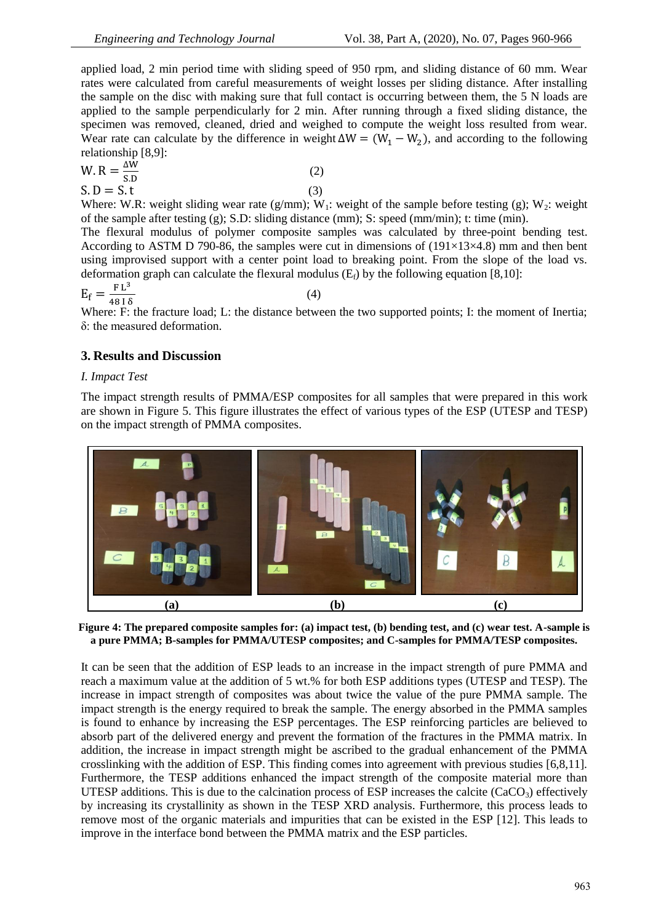applied load, 2 min period time with sliding speed of 950 rpm, and sliding distance of 60 mm. Wear rates were calculated from careful measurements of weight losses per sliding distance. After installing the sample on the disc with making sure that full contact is occurring between them, the 5 N loads are applied to the sample perpendicularly for 2 min. After running through a fixed sliding distance, the specimen was removed, cleaned, dried and weighed to compute the weight loss resulted from wear. Wear rate can calculate by the difference in weight  $\Delta W = (W_1 - W_2)$ , and according to the following relationship [8,9]:

$$
W. R = \frac{\Delta W}{S.D}
$$
\n
$$
S. D = S.t
$$
\n(2)\n(3)

Where: W.R: weight sliding wear rate (g/mm); W<sub>1</sub>: weight of the sample before testing (g); W<sub>2</sub>: weight of the sample after testing  $(g)$ ; S.D: sliding distance (mm); S: speed (mm/min); t: time (min).

The flexural modulus of polymer composite samples was calculated by three-point bending test. According to ASTM D 790-86, the samples were cut in dimensions of  $(191\times13\times4.8)$  mm and then bent using improvised support with a center point load to breaking point. From the slope of the load vs. deformation graph can calculate the flexural modulus  $(E<sub>f</sub>)$  by the following equation [8,10]:

$$
E_f = \frac{FL^3}{48 \, I \, \delta} \tag{4}
$$

Where: F: the fracture load; L: the distance between the two supported points; I: the moment of Inertia; δ: the measured deformation.

# **3. Results and Discussion**

#### *I. Impact Test*

The impact strength results of PMMA/ESP composites for all samples that were prepared in this work are shown in Figure 5. This figure illustrates the effect of various types of the ESP (UTESP and TESP) on the impact strength of PMMA composites.



**Figure 4: The prepared composite samples for: (a) impact test, (b) bending test, and (c) wear test. A-sample is a pure PMMA; B-samples for PMMA/UTESP composites; and C-samples for PMMA/TESP composites.**

It can be seen that the addition of ESP leads to an increase in the impact strength of pure PMMA and reach a maximum value at the addition of 5 wt.% for both ESP additions types (UTESP and TESP). The increase in impact strength of composites was about twice the value of the pure PMMA sample. The impact strength is the energy required to break the sample. The energy absorbed in the PMMA samples is found to enhance by increasing the ESP percentages. The ESP reinforcing particles are believed to absorb part of the delivered energy and prevent the formation of the fractures in the PMMA matrix. In addition, the increase in impact strength might be ascribed to the gradual enhancement of the PMMA crosslinking with the addition of ESP. This finding comes into agreement with previous studies [6,8,11]. Furthermore, the TESP additions enhanced the impact strength of the composite material more than UTESP additions. This is due to the calcination process of ESP increases the calcite (CaCO<sub>3</sub>) effectively by increasing its crystallinity as shown in the TESP XRD analysis. Furthermore, this process leads to remove most of the organic materials and impurities that can be existed in the ESP [12]. This leads to improve in the interface bond between the PMMA matrix and the ESP particles.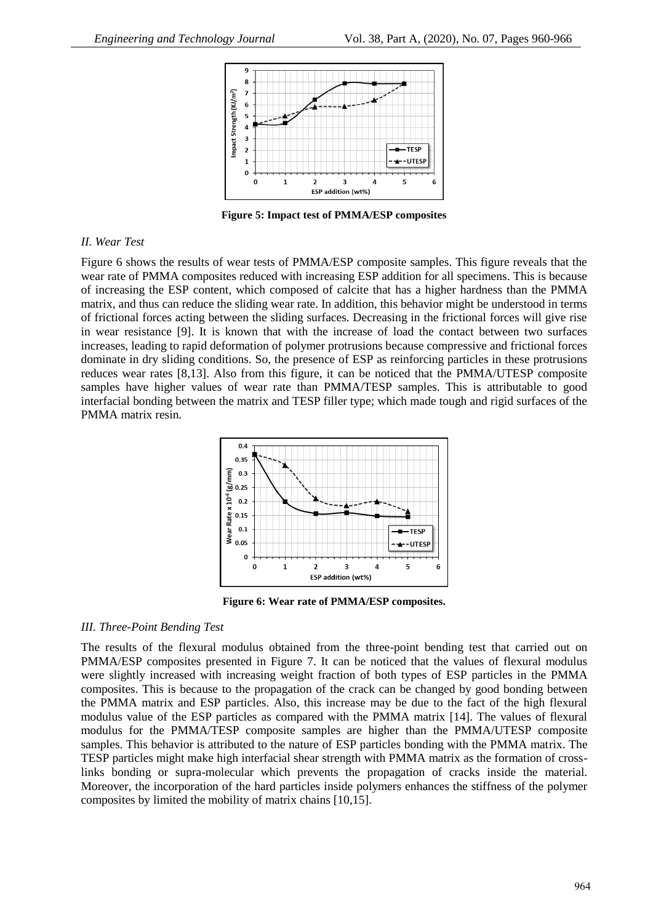

**Figure 5: Impact test of PMMA/ESP composites**

#### *II. Wear Test*

Figure 6 shows the results of wear tests of PMMA/ESP composite samples. This figure reveals that the wear rate of PMMA composites reduced with increasing ESP addition for all specimens. This is because of increasing the ESP content, which composed of calcite that has a higher hardness than the PMMA matrix, and thus can reduce the sliding wear rate. In addition, this behavior might be understood in terms of frictional forces acting between the sliding surfaces. Decreasing in the frictional forces will give rise in wear resistance [9]. It is known that with the increase of load the contact between two surfaces increases, leading to rapid deformation of polymer protrusions because compressive and frictional forces dominate in dry sliding conditions. So, the presence of ESP as reinforcing particles in these protrusions reduces wear rates [8,13]. Also from this figure, it can be noticed that the PMMA/UTESP composite samples have higher values of wear rate than PMMA/TESP samples. This is attributable to good interfacial bonding between the matrix and TESP filler type; which made tough and rigid surfaces of the PMMA matrix resin.



**Figure 6: Wear rate of PMMA/ESP composites.**

#### *III. Three-Point Bending Test*

The results of the flexural modulus obtained from the three-point bending test that carried out on PMMA/ESP composites presented in Figure 7. It can be noticed that the values of flexural modulus were slightly increased with increasing weight fraction of both types of ESP particles in the PMMA composites. This is because to the propagation of the crack can be changed by good bonding between the PMMA matrix and ESP particles. Also, this increase may be due to the fact of the high flexural modulus value of the ESP particles as compared with the PMMA matrix [14]. The values of flexural modulus for the PMMA/TESP composite samples are higher than the PMMA/UTESP composite samples. This behavior is attributed to the nature of ESP particles bonding with the PMMA matrix. The TESP particles might make high interfacial shear strength with PMMA matrix as the formation of crosslinks bonding or supra-molecular which prevents the propagation of cracks inside the material. Moreover, the incorporation of the hard particles inside polymers enhances the stiffness of the polymer composites by limited the mobility of matrix chains [10,15].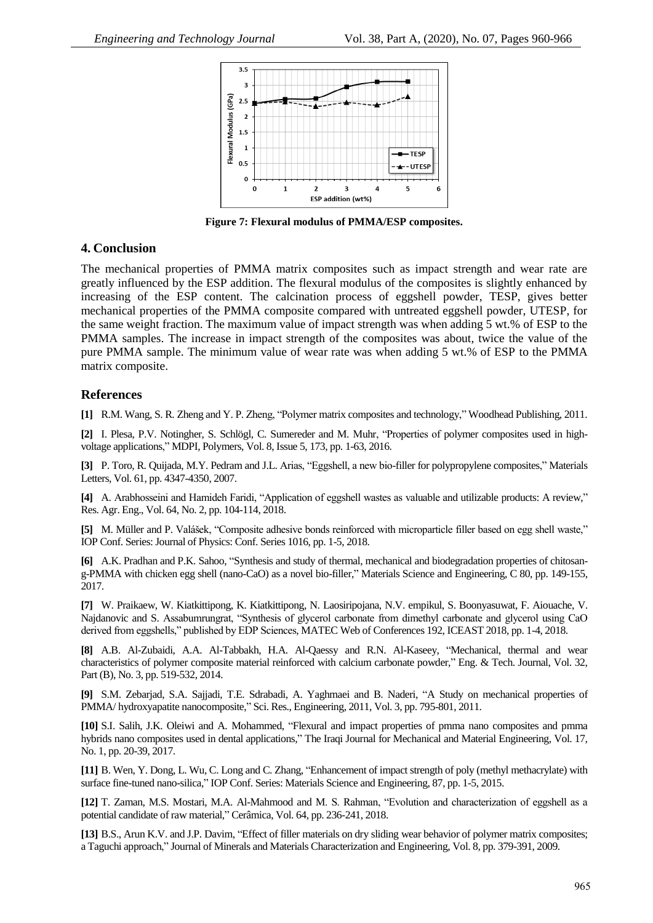

**Figure 7: Flexural modulus of PMMA/ESP composites.**

#### **4. Conclusion**

The mechanical properties of PMMA matrix composites such as impact strength and wear rate are greatly influenced by the ESP addition. The flexural modulus of the composites is slightly enhanced by increasing of the ESP content. The calcination process of eggshell powder, TESP, gives better mechanical properties of the PMMA composite compared with untreated eggshell powder, UTESP, for the same weight fraction. The maximum value of impact strength was when adding 5 wt.% of ESP to the PMMA samples. The increase in impact strength of the composites was about, twice the value of the pure PMMA sample. The minimum value of wear rate was when adding 5 wt.% of ESP to the PMMA matrix composite.

## **References**

**[1]** R.M. Wang, S. R. Zheng and Y. P. Zheng, "Polymer matrix composites and technology," Woodhead Publishing, 2011.

**[2]** I. Plesa, P.V. Notingher, S. Schlögl, C. Sumereder and M. Muhr, "Properties of polymer composites used in highvoltage applications," MDPI, Polymers, Vol. 8, Issue 5, 173, pp. 1-63, 2016.

**[3]** P. Toro, R. Quijada, M.Y. Pedram and J.L. Arias, "Eggshell, a new bio-filler for polypropylene composites," Materials Letters, Vol. 61, pp. 4347-4350, 2007.

**[4]** A. Arabhosseini and Hamideh Faridi, "Application of eggshell wastes as valuable and utilizable products: A review," Res. Agr. Eng., Vol. 64, No. 2, pp. 104-114, 2018.

**[5]** M. Müller and P. Valášek, "Composite adhesive bonds reinforced with microparticle filler based on egg shell waste," IOP Conf. Series: Journal of Physics: Conf. Series 1016, pp. 1-5, 2018.

**[6]** A.K. Pradhan and P.K. Sahoo, "Synthesis and study of thermal, mechanical and biodegradation properties of chitosang-PMMA with chicken egg shell (nano-CaO) as a novel bio-filler," Materials Science and Engineering, C 80, pp. 149-155, 2017.

**[7]** W. Praikaew, W. Kiatkittipong, K. Kiatkittipong, N. Laosiripojana, N.V. empikul, S. Boonyasuwat, F. Aiouache, V. Najdanovic and S. Assabumrungrat, "Synthesis of glycerol carbonate from dimethyl carbonate and glycerol using CaO derived from eggshells," published by EDP Sciences, MATEC Web of Conferences 192, ICEAST 2018, pp. 1-4, 2018.

**[8]** A.B. Al-Zubaidi, A.A. Al-Tabbakh, H.A. Al-Qaessy and R.N. Al-Kaseey, "Mechanical, thermal and wear characteristics of polymer composite material reinforced with calcium carbonate powder," Eng. & Tech. Journal, Vol. 32, Part (B), No. 3, pp. 519-532, 2014.

**[9]** S.M. Zebarjad, S.A. Sajjadi, T.E. Sdrabadi, A. Yaghmaei and B. Naderi, "A Study on mechanical properties of PMMA/ hydroxyapatite nanocomposite," Sci. Res., Engineering, 2011, Vol. 3, pp. 795-801, 2011.

**[10]** S.I. Salih, J.K. Oleiwi and A. Mohammed, "Flexural and impact properties of pmma nano composites and pmma hybrids nano composites used in dental applications," The Iraqi Journal for Mechanical and Material Engineering, Vol. 17, No. 1, pp. 20-39, 2017.

**[11]** B. Wen, Y. Dong, L. Wu, C. Long and C. Zhang, "Enhancement of impact strength of poly (methyl methacrylate) with surface fine-tuned nano-silica," IOP Conf. Series: Materials Science and Engineering, 87, pp. 1-5, 2015.

**[12]** T. Zaman, M.S. Mostari, M.A. Al-Mahmood and M. S. Rahman, "Evolution and characterization of eggshell as a potential candidate of raw material," Cerâmica, Vol. 64, pp. 236-241, 2018.

**[13]** B.S., Arun K.V. and J.P. Davim, "Effect of filler materials on dry sliding wear behavior of polymer matrix composites; a Taguchi approach," Journal of Minerals and Materials Characterization and Engineering, Vol. 8, pp. 379-391, 2009.